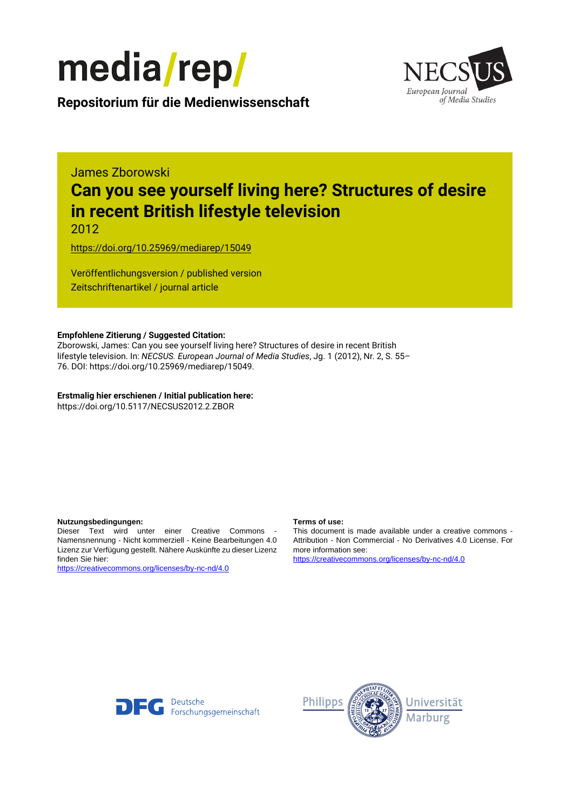

European Journal of Media Studies

**Repositorium für die [Medienwissenschaft](https://mediarep.org)**

# James Zborowski **Can you see yourself living here? Structures of desire in recent British lifestyle television**

2012

<https://doi.org/10.25969/mediarep/15049>

Veröffentlichungsversion / published version Zeitschriftenartikel / journal article

#### **Empfohlene Zitierung / Suggested Citation:**

Zborowski, James: Can you see yourself living here? Structures of desire in recent British lifestyle television. In: *NECSUS. European Journal of Media Studies*, Jg. 1 (2012), Nr. 2, S. 55– 76. DOI: https://doi.org/10.25969/mediarep/15049.

**Erstmalig hier erschienen / Initial publication here:** https://doi.org/10.5117/NECSUS2012.2.ZBOR

#### **Nutzungsbedingungen: Terms of use:**

Dieser Text wird unter einer Creative Commons - Namensnennung - Nicht kommerziell - Keine Bearbeitungen 4.0 Lizenz zur Verfügung gestellt. Nähere Auskünfte zu dieser Lizenz finden Sie hier:

<https://creativecommons.org/licenses/by-nc-nd/4.0>

This document is made available under a creative commons - Attribution - Non Commercial - No Derivatives 4.0 License. For more information see:

<https://creativecommons.org/licenses/by-nc-nd/4.0>



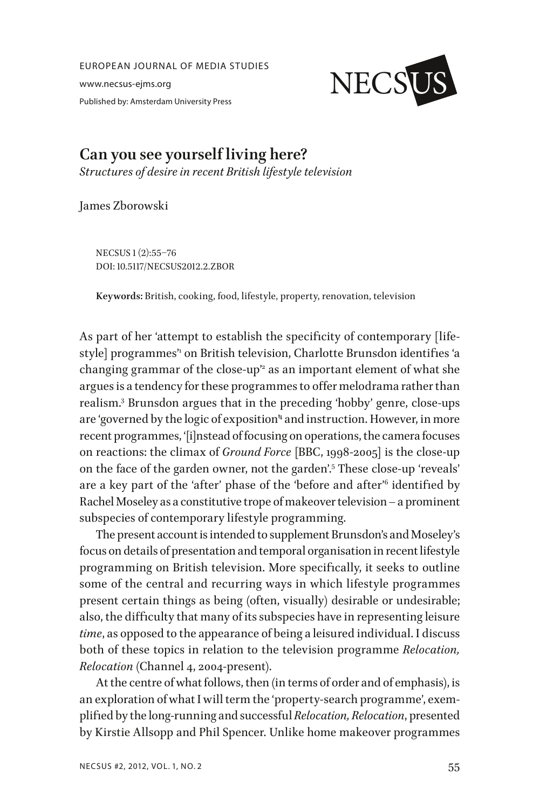EUROPEAN JOURNAL OF MEDIA STUDIES

www.necsus-ejms.org Published by: Amsterdam University Press



# **Can you see yourself living here?**

*Structures of desire in recent British lifestyle television*

James Zborowski

NECSUS 1 (2):55–76 DOI: 10.5117/NECSUS2012.2.ZBOR

**Keywords:** British, cooking, food, lifestyle, property, renovation, television

As part of her 'attempt to establish the specificity of contemporary [lifestyle] programmes'1 on British television, Charlotte Brunsdon identifies 'a changing grammar of the close-up'2 as an important element of what she argues is a tendency for these programmes to offer melodrama rather than realism.3 Brunsdon argues that in the preceding 'hobby' genre, close-ups are 'governed by the logic of exposition'4 and instruction. However, in more recent programmes, '[i]nstead of focusing on operations, the camera focuses on reactions: the climax of *Ground Force* [BBC, 1998-2005] is the close-up on the face of the garden owner, not the garden'.5 These close-up 'reveals' are a key part of the 'after' phase of the 'before and after'6 identified by Rachel Moseley as a constitutive trope of makeover television – a prominent subspecies of contemporary lifestyle programming.

The present account is intended to supplement Brunsdon's and Moseley's focus on details of presentation and temporal organisation in recent lifestyle programming on British television. More specifically, it seeks to outline some of the central and recurring ways in which lifestyle programmes present certain things as being (often, visually) desirable or undesirable; also, the difficulty that many of its subspecies have in representing leisure *time*, as opposed to the appearance of being a leisured individual. I discuss both of these topics in relation to the television programme *Relocation, Relocation* (Channel 4, 2004-present).

At the centre of what follows, then (in terms of order and of emphasis), is an exploration of what I will term the 'property-search programme', exemplified by the long-running and successful *Relocation, Relocation*, presented by Kirstie Allsopp and Phil Spencer. Unlike home makeover programmes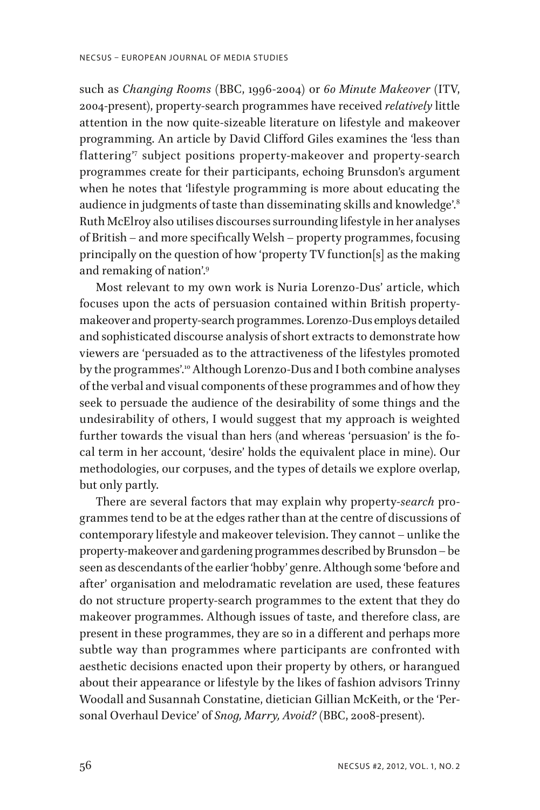such as *Changing Rooms* (BBC, 1996-2004) or *60 Minute Makeover* (ITV, 2004-present), property-search programmes have received *relatively* little attention in the now quite-sizeable literature on lifestyle and makeover programming. An article by David Clifford Giles examines the 'less than flattering'7 subject positions property-makeover and property-search programmes create for their participants, echoing Brunsdon's argument when he notes that 'lifestyle programming is more about educating the audience in judgments of taste than disseminating skills and knowledge'.<sup>8</sup> Ruth McElroy also utilises discourses surrounding lifestyle in her analyses of British – and more specifically Welsh – property programmes, focusing principally on the question of how 'property TV function[s] as the making and remaking of nation'.9

Most relevant to my own work is Nuria Lorenzo-Dus' article, which focuses upon the acts of persuasion contained within British propertymakeover and property-search programmes. Lorenzo-Dus employs detailed and sophisticated discourse analysis of short extracts to demonstrate how viewers are 'persuaded as to the attractiveness of the lifestyles promoted by the programmes'.<sup>10</sup> Although Lorenzo-Dus and I both combine analyses of the verbal and visual components of these programmes and of how they seek to persuade the audience of the desirability of some things and the undesirability of others, I would suggest that my approach is weighted further towards the visual than hers (and whereas 'persuasion' is the focal term in her account, 'desire' holds the equivalent place in mine). Our methodologies, our corpuses, and the types of details we explore overlap, but only partly.

There are several factors that may explain why property-*search* programmes tend to be at the edges rather than at the centre of discussions of contemporary lifestyle and makeover television. They cannot – unlike the property-makeover and gardening programmes described by Brunsdon – be seen as descendants of the earlier 'hobby' genre. Although some 'before and after' organisation and melodramatic revelation are used, these features do not structure property-search programmes to the extent that they do makeover programmes. Although issues of taste, and therefore class, are present in these programmes, they are so in a different and perhaps more subtle way than programmes where participants are confronted with aesthetic decisions enacted upon their property by others, or harangued about their appearance or lifestyle by the likes of fashion advisors Trinny Woodall and Susannah Constatine, dietician Gillian McKeith, or the 'Personal Overhaul Device' of *Snog, Marry, Avoid?* (BBC, 2008-present).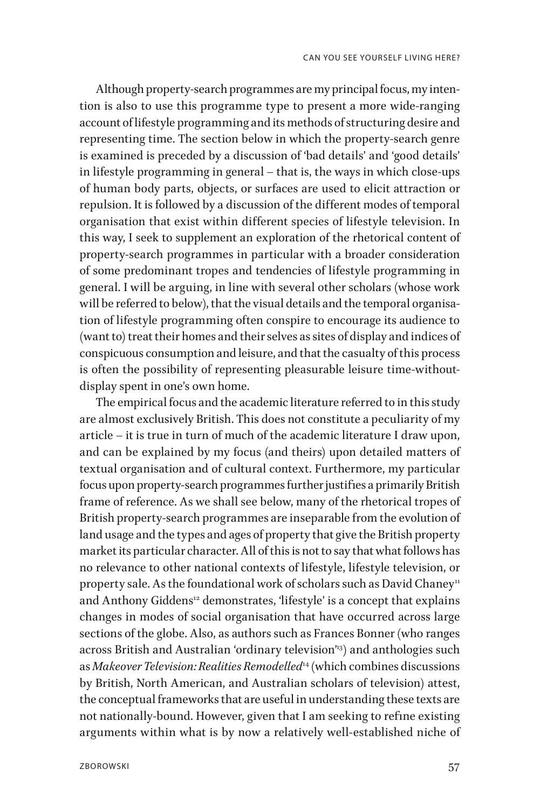Although property-search programmes are my principal focus, my intention is also to use this programme type to present a more wide-ranging account of lifestyle programming and its methods of structuring desire and representing time. The section below in which the property-search genre is examined is preceded by a discussion of 'bad details' and 'good details' in lifestyle programming in general – that is, the ways in which close-ups of human body parts, objects, or surfaces are used to elicit attraction or repulsion. It is followed by a discussion of the different modes of temporal organisation that exist within different species of lifestyle television. In this way, I seek to supplement an exploration of the rhetorical content of property-search programmes in particular with a broader consideration of some predominant tropes and tendencies of lifestyle programming in general. I will be arguing, in line with several other scholars (whose work will be referred to below), that the visual details and the temporal organisation of lifestyle programming often conspire to encourage its audience to (want to) treat their homes and their selves as sites of display and indices of conspicuous consumption and leisure, and that the casualty of this process is often the possibility of representing pleasurable leisure time-withoutdisplay spent in one's own home.

The empirical focus and the academic literature referred to in this study are almost exclusively British. This does not constitute a peculiarity of my article – it is true in turn of much of the academic literature I draw upon, and can be explained by my focus (and theirs) upon detailed matters of textual organisation and of cultural context. Furthermore, my particular focus upon property-search programmes further justifies a primarily British frame of reference. As we shall see below, many of the rhetorical tropes of British property-search programmes are inseparable from the evolution of land usage and the types and ages of property that give the British property market its particular character. All of this is not to say that what follows has no relevance to other national contexts of lifestyle, lifestyle television, or property sale. As the foundational work of scholars such as David Chaney<sup>11</sup> and Anthony Giddens<sup>12</sup> demonstrates, 'lifestyle' is a concept that explains changes in modes of social organisation that have occurred across large sections of the globe. Also, as authors such as Frances Bonner (who ranges across British and Australian 'ordinary television'13) and anthologies such as *Makeover Television: Realities Remodelled*14 (which combines discussions by British, North American, and Australian scholars of television) attest, the conceptual frameworks that are useful in understanding these texts are not nationally-bound. However, given that I am seeking to refine existing arguments within what is by now a relatively well-established niche of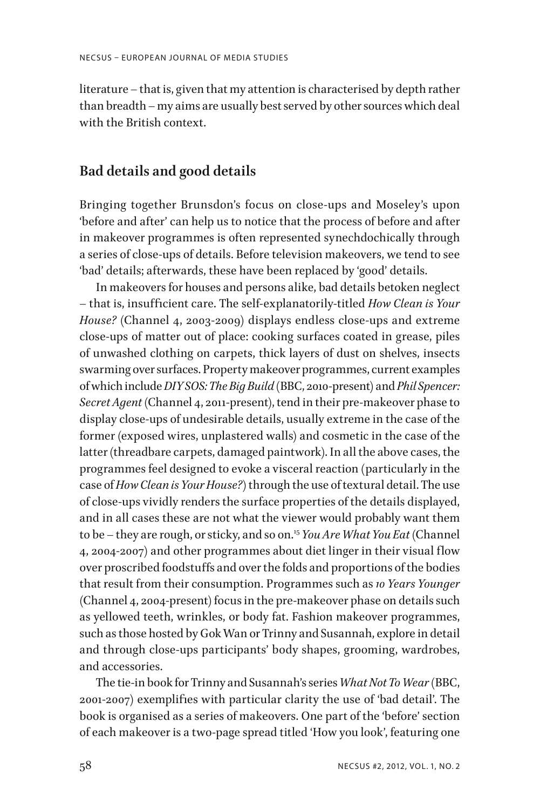literature – that is, given that my attention is characterised by depth rather than breadth – my aims are usually best served by other sources which deal with the British context.

# **Bad details and good details**

Bringing together Brunsdon's focus on close-ups and Moseley's upon 'before and after' can help us to notice that the process of before and after in makeover programmes is often represented synechdochically through a series of close-ups of details. Before television makeovers, we tend to see 'bad' details; afterwards, these have been replaced by 'good' details.

In makeovers for houses and persons alike, bad details betoken neglect – that is, insufficient care. The self-explanatorily-titled *How Clean is Your House?* (Channel 4, 2003-2009) displays endless close-ups and extreme close-ups of matter out of place: cooking surfaces coated in grease, piles of unwashed clothing on carpets, thick layers of dust on shelves, insects swarming over surfaces. Property makeover programmes, current examples of which include *DIY SOS: The Big Build* (BBC, 2010-present) and *Phil Spencer: Secret Agent* (Channel 4, 2011-present), tend in their pre-makeover phase to display close-ups of undesirable details, usually extreme in the case of the former (exposed wires, unplastered walls) and cosmetic in the case of the latter (threadbare carpets, damaged paintwork). In all the above cases, the programmes feel designed to evoke a visceral reaction (particularly in the case of *How Clean is Your House?*) through the use of textural detail. The use of close-ups vividly renders the surface properties of the details displayed, and in all cases these are not what the viewer would probably want them to be – they are rough, or sticky, and so on.15 *You Are What You Eat* (Channel 4, 2004-2007) and other programmes about diet linger in their visual flow over proscribed foodstuffs and over the folds and proportions of the bodies that result from their consumption. Programmes such as *10 Years Younger* (Channel 4, 2004-present) focus in the pre-makeover phase on details such as yellowed teeth, wrinkles, or body fat. Fashion makeover programmes, such as those hosted by Gok Wan or Trinny and Susannah, explore in detail and through close-ups participants' body shapes, grooming, wardrobes, and accessories.

The tie-in book for Trinny and Susannah's series *What Not To Wear* (BBC, 2001-2007) exemplifies with particular clarity the use of 'bad detail'. The book is organised as a series of makeovers. One part of the 'before' section of each makeover is a two-page spread titled 'How you look', featuring one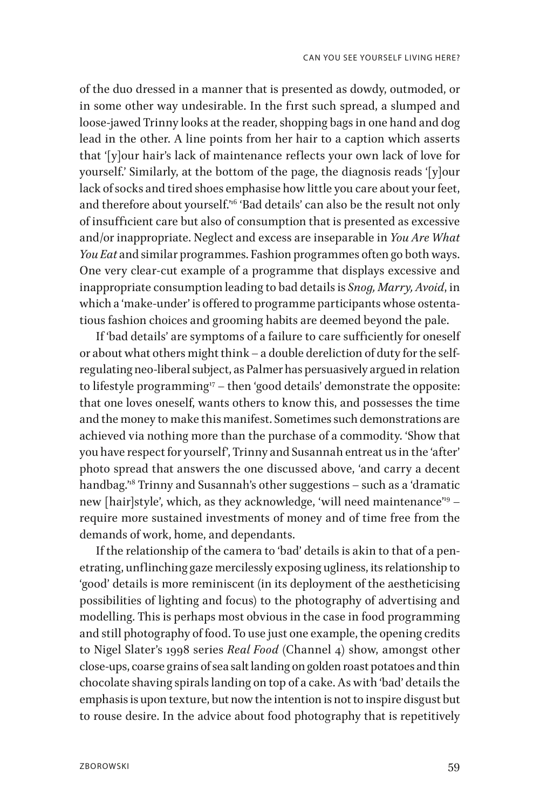of the duo dressed in a manner that is presented as dowdy, outmoded, or in some other way undesirable. In the first such spread, a slumped and loose-jawed Trinny looks at the reader, shopping bags in one hand and dog lead in the other. A line points from her hair to a caption which asserts that '[y]our hair's lack of maintenance reflects your own lack of love for yourself.' Similarly, at the bottom of the page, the diagnosis reads '[y]our lack of socks and tired shoes emphasise how little you care about your feet, and therefore about yourself.<sup>16</sup> 'Bad details' can also be the result not only of insufficient care but also of consumption that is presented as excessive and/or inappropriate. Neglect and excess are inseparable in *You Are What You Eat* and similar programmes. Fashion programmes often go both ways. One very clear-cut example of a programme that displays excessive and inappropriate consumption leading to bad details is *Snog, Marry, Avoid*, in which a 'make-under' is offered to programme participants whose ostentatious fashion choices and grooming habits are deemed beyond the pale.

If 'bad details' are symptoms of a failure to care sufficiently for oneself or about what others might think – a double dereliction of duty for the selfregulating neo-liberal subject, as Palmer has persuasively argued in relation to lifestyle programming $17$  – then 'good details' demonstrate the opposite: that one loves oneself, wants others to know this, and possesses the time and the money to make this manifest. Sometimes such demonstrations are achieved via nothing more than the purchase of a commodity. 'Show that you have respect for yourself', Trinny and Susannah entreat us in the 'after' photo spread that answers the one discussed above, 'and carry a decent handbag.'18 Trinny and Susannah's other suggestions – such as a 'dramatic new [hair]style', which, as they acknowledge, 'will need maintenance<sup>n9</sup> require more sustained investments of money and of time free from the demands of work, home, and dependants.

If the relationship of the camera to 'bad' details is akin to that of a penetrating, unflinching gaze mercilessly exposing ugliness, its relationship to 'good' details is more reminiscent (in its deployment of the aestheticising possibilities of lighting and focus) to the photography of advertising and modelling. This is perhaps most obvious in the case in food programming and still photography of food. To use just one example, the opening credits to Nigel Slater's 1998 series *Real Food* (Channel 4) show, amongst other close-ups, coarse grains of sea salt landing on golden roast potatoes and thin chocolate shaving spirals landing on top of a cake. As with 'bad' details the emphasis is upon texture, but now the intention is not to inspire disgust but to rouse desire. In the advice about food photography that is repetitively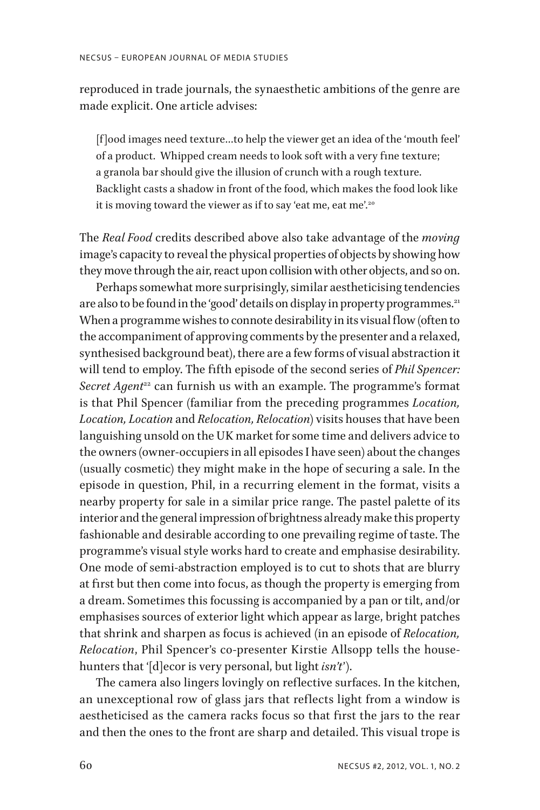reproduced in trade journals, the synaesthetic ambitions of the genre are made explicit. One article advises:

[f]ood images need texture…to help the viewer get an idea of the 'mouth feel' of a product. Whipped cream needs to look soft with a very fine texture; a granola bar should give the illusion of crunch with a rough texture. Backlight casts a shadow in front of the food, which makes the food look like it is moving toward the viewer as if to say 'eat me, eat me'.<sup>20</sup>

The *Real Food* credits described above also take advantage of the *moving* image's capacity to reveal the physical properties of objects by showing how they move through the air, react upon collision with other objects, and so on.

Perhaps somewhat more surprisingly, similar aestheticising tendencies are also to be found in the 'good' details on display in property programmes.<sup>21</sup> When a programme wishes to connote desirability in its visual flow (often to the accompaniment of approving comments by the presenter and a relaxed, synthesised background beat), there are a few forms of visual abstraction it will tend to employ. The fifth episode of the second series of *Phil Spencer: Secret Agent<sup>22</sup>* can furnish us with an example. The programme's format is that Phil Spencer (familiar from the preceding programmes *Location, Location, Location* and *Relocation, Relocation*) visits houses that have been languishing unsold on the UK market for some time and delivers advice to the owners (owner-occupiers in all episodes I have seen) about the changes (usually cosmetic) they might make in the hope of securing a sale. In the episode in question, Phil, in a recurring element in the format, visits a nearby property for sale in a similar price range. The pastel palette of its interior and the general impression of brightness already make this property fashionable and desirable according to one prevailing regime of taste. The programme's visual style works hard to create and emphasise desirability. One mode of semi-abstraction employed is to cut to shots that are blurry at first but then come into focus, as though the property is emerging from a dream. Sometimes this focussing is accompanied by a pan or tilt, and/or emphasises sources of exterior light which appear as large, bright patches that shrink and sharpen as focus is achieved (in an episode of *Relocation, Relocation*, Phil Spencer's co-presenter Kirstie Allsopp tells the househunters that '[d]ecor is very personal, but light *isn't*').

The camera also lingers lovingly on reflective surfaces. In the kitchen, an unexceptional row of glass jars that reflects light from a window is aestheticised as the camera racks focus so that first the jars to the rear and then the ones to the front are sharp and detailed. This visual trope is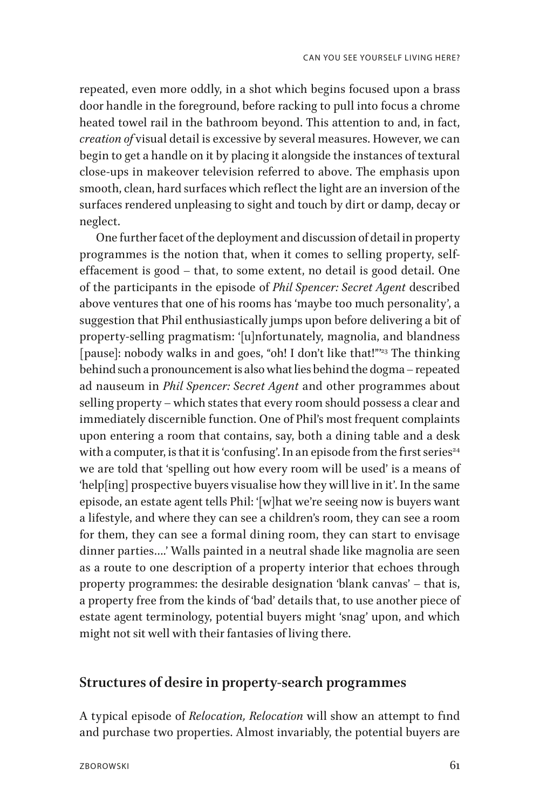repeated, even more oddly, in a shot which begins focused upon a brass door handle in the foreground, before racking to pull into focus a chrome heated towel rail in the bathroom beyond. This attention to and, in fact, *creation of* visual detail is excessive by several measures. However, we can begin to get a handle on it by placing it alongside the instances of textural close-ups in makeover television referred to above. The emphasis upon smooth, clean, hard surfaces which reflect the light are an inversion of the surfaces rendered unpleasing to sight and touch by dirt or damp, decay or neglect.

One further facet of the deployment and discussion of detail in property programmes is the notion that, when it comes to selling property, selfeffacement is good – that, to some extent, no detail is good detail. One of the participants in the episode of *Phil Spencer: Secret Agent* described above ventures that one of his rooms has 'maybe too much personality', a suggestion that Phil enthusiastically jumps upon before delivering a bit of property-selling pragmatism: '[u]nfortunately, magnolia, and blandness [pause]: nobody walks in and goes, "oh! I don't like that!"<sup>23</sup> The thinking behind such a pronouncement is also what lies behind the dogma – repeated ad nauseum in *Phil Spencer: Secret Agent* and other programmes about selling property – which states that every room should possess a clear and immediately discernible function. One of Phil's most frequent complaints upon entering a room that contains, say, both a dining table and a desk with a computer, is that it is 'confusing'. In an episode from the first series<sup>24</sup> we are told that 'spelling out how every room will be used' is a means of 'help[ing] prospective buyers visualise how they will live in it'. In the same episode, an estate agent tells Phil: '[w]hat we're seeing now is buyers want a lifestyle, and where they can see a children's room, they can see a room for them, they can see a formal dining room, they can start to envisage dinner parties….' Walls painted in a neutral shade like magnolia are seen as a route to one description of a property interior that echoes through property programmes: the desirable designation 'blank canvas' – that is, a property free from the kinds of 'bad' details that, to use another piece of estate agent terminology, potential buyers might 'snag' upon, and which might not sit well with their fantasies of living there.

### **Structures of desire in property-search programmes**

A typical episode of *Relocation, Relocation* will show an attempt to find and purchase two properties. Almost invariably, the potential buyers are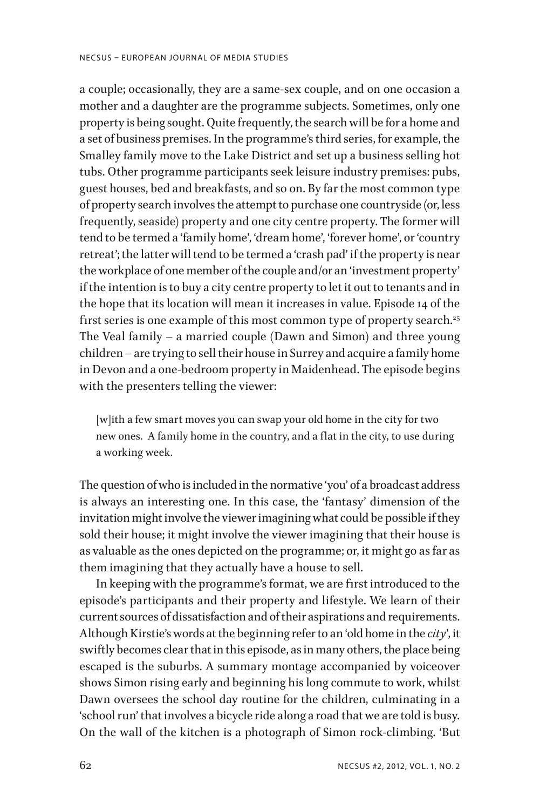a couple; occasionally, they are a same-sex couple, and on one occasion a mother and a daughter are the programme subjects. Sometimes, only one property is being sought. Quite frequently, the search will be for a home and a set of business premises. In the programme's third series, for example, the Smalley family move to the Lake District and set up a business selling hot tubs. Other programme participants seek leisure industry premises: pubs, guest houses, bed and breakfasts, and so on. By far the most common type of property search involves the attempt to purchase one countryside (or, less frequently, seaside) property and one city centre property. The former will tend to be termed a 'family home', 'dream home', 'forever home', or 'country retreat'; the latter will tend to be termed a 'crash pad' if the property is near the workplace of one member of the couple and/or an 'investment property' if the intention is to buy a city centre property to let it out to tenants and in the hope that its location will mean it increases in value. Episode 14 of the first series is one example of this most common type of property search.<sup>25</sup> The Veal family – a married couple (Dawn and Simon) and three young children – are trying to sell their house in Surrey and acquire a family home in Devon and a one-bedroom property in Maidenhead. The episode begins with the presenters telling the viewer:

[w]ith a few smart moves you can swap your old home in the city for two new ones. A family home in the country, and a flat in the city, to use during a working week.

The question of who is included in the normative 'you' of a broadcast address is always an interesting one. In this case, the 'fantasy' dimension of the invitation might involve the viewer imagining what could be possible if they sold their house; it might involve the viewer imagining that their house is as valuable as the ones depicted on the programme; or, it might go as far as them imagining that they actually have a house to sell.

In keeping with the programme's format, we are first introduced to the episode's participants and their property and lifestyle. We learn of their current sources of dissatisfaction and of their aspirations and requirements. Although Kirstie's words at the beginning refer to an 'old home in the *city*', it swiftly becomes clear that in this episode, as in many others, the place being escaped is the suburbs. A summary montage accompanied by voiceover shows Simon rising early and beginning his long commute to work, whilst Dawn oversees the school day routine for the children, culminating in a 'school run' that involves a bicycle ride along a road that we are told is busy. On the wall of the kitchen is a photograph of Simon rock-climbing. 'But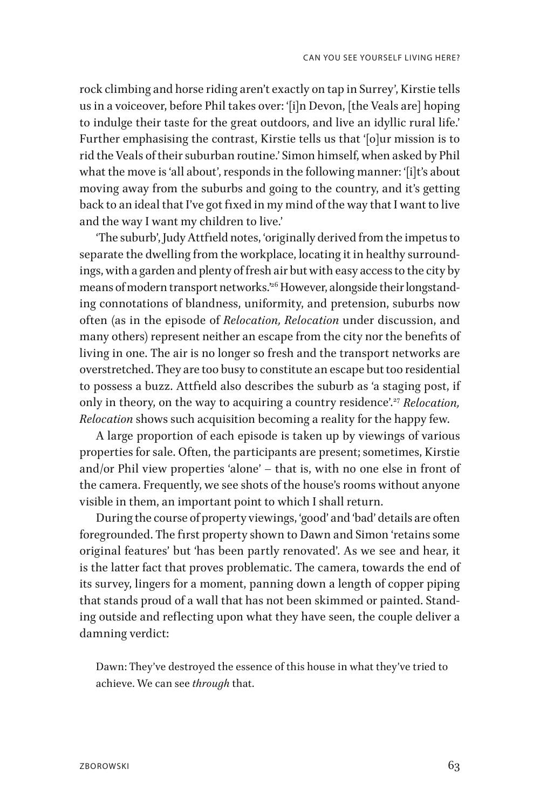rock climbing and horse riding aren't exactly on tap in Surrey', Kirstie tells us in a voiceover, before Phil takes over: '[i]n Devon, [the Veals are] hoping to indulge their taste for the great outdoors, and live an idyllic rural life.' Further emphasising the contrast, Kirstie tells us that '[o]ur mission is to rid the Veals of their suburban routine.' Simon himself, when asked by Phil what the move is 'all about', responds in the following manner: '[i]t's about moving away from the suburbs and going to the country, and it's getting back to an ideal that I've got fixed in my mind of the way that I want to live and the way I want my children to live.'

'The suburb', Judy Attfield notes, 'originally derived from the impetus to separate the dwelling from the workplace, locating it in healthy surroundings, with a garden and plenty of fresh air but with easy access to the city by means of modern transport networks.<sup>26</sup> However, alongside their longstanding connotations of blandness, uniformity, and pretension, suburbs now often (as in the episode of *Relocation, Relocation* under discussion, and many others) represent neither an escape from the city nor the benefits of living in one. The air is no longer so fresh and the transport networks are overstretched. They are too busy to constitute an escape but too residential to possess a buzz. Attfield also describes the suburb as 'a staging post, if only in theory, on the way to acquiring a country residence'.<sup>27</sup> Relocation, *Relocation* shows such acquisition becoming a reality for the happy few.

A large proportion of each episode is taken up by viewings of various properties for sale. Often, the participants are present; sometimes, Kirstie and/or Phil view properties 'alone' – that is, with no one else in front of the camera. Frequently, we see shots of the house's rooms without anyone visible in them, an important point to which I shall return.

During the course of property viewings, 'good' and 'bad' details are often foregrounded. The first property shown to Dawn and Simon 'retains some original features' but 'has been partly renovated'. As we see and hear, it is the latter fact that proves problematic. The camera, towards the end of its survey, lingers for a moment, panning down a length of copper piping that stands proud of a wall that has not been skimmed or painted. Standing outside and reflecting upon what they have seen, the couple deliver a damning verdict:

Dawn: They've destroyed the essence of this house in what they've tried to achieve. We can see *through* that.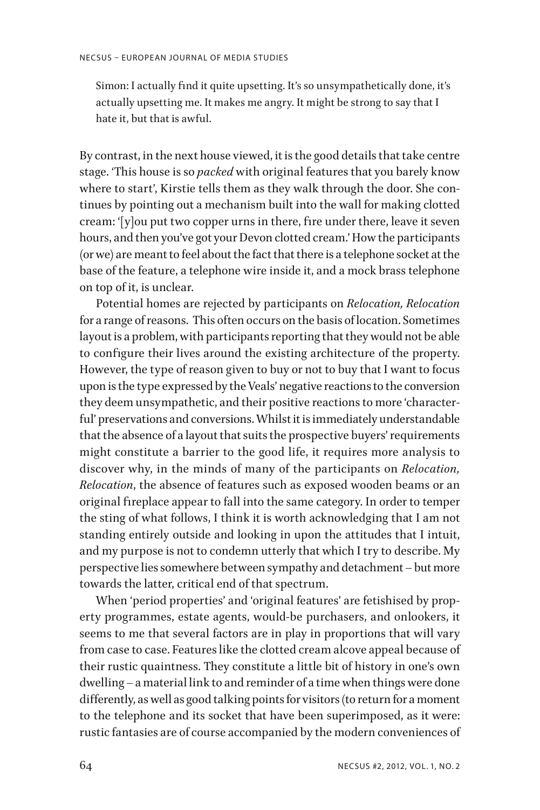Simon: I actually find it quite upsetting. It's so unsympathetically done, it's actually upsetting me. It makes me angry. It might be strong to say that I hate it, but that is awful.

By contrast, in the next house viewed, it is the good details that take centre stage. 'This house is so *packed* with original features that you barely know where to start', Kirstie tells them as they walk through the door. She continues by pointing out a mechanism built into the wall for making clotted cream: '[y]ou put two copper urns in there, fire under there, leave it seven hours, and then you've got your Devon clotted cream.' How the participants (or we) are meant to feel about the fact that there is a telephone socket at the base of the feature, a telephone wire inside it, and a mock brass telephone on top of it, is unclear.

Potential homes are rejected by participants on *Relocation, Relocation* for a range of reasons. This often occurs on the basis of location. Sometimes layout is a problem, with participants reporting that they would not be able to configure their lives around the existing architecture of the property. However, the type of reason given to buy or not to buy that I want to focus upon is the type expressed by the Veals' negative reactions to the conversion they deem unsympathetic, and their positive reactions to more 'characterful' preservations and conversions. Whilst it is immediately understandable that the absence of a layout that suits the prospective buyers' requirements might constitute a barrier to the good life, it requires more analysis to discover why, in the minds of many of the participants on *Relocation, Relocation*, the absence of features such as exposed wooden beams or an original fireplace appear to fall into the same category. In order to temper the sting of what follows, I think it is worth acknowledging that I am not standing entirely outside and looking in upon the attitudes that I intuit, and my purpose is not to condemn utterly that which I try to describe. My perspective lies somewhere between sympathy and detachment – but more towards the latter, critical end of that spectrum.

When 'period properties' and 'original features' are fetishised by property programmes, estate agents, would-be purchasers, and onlookers, it seems to me that several factors are in play in proportions that will vary from case to case. Features like the clotted cream alcove appeal because of their rustic quaintness. They constitute a little bit of history in one's own dwelling – a material link to and reminder of a time when things were done differently, as well as good talking points for visitors (to return for a moment to the telephone and its socket that have been superimposed, as it were: rustic fantasies are of course accompanied by the modern conveniences of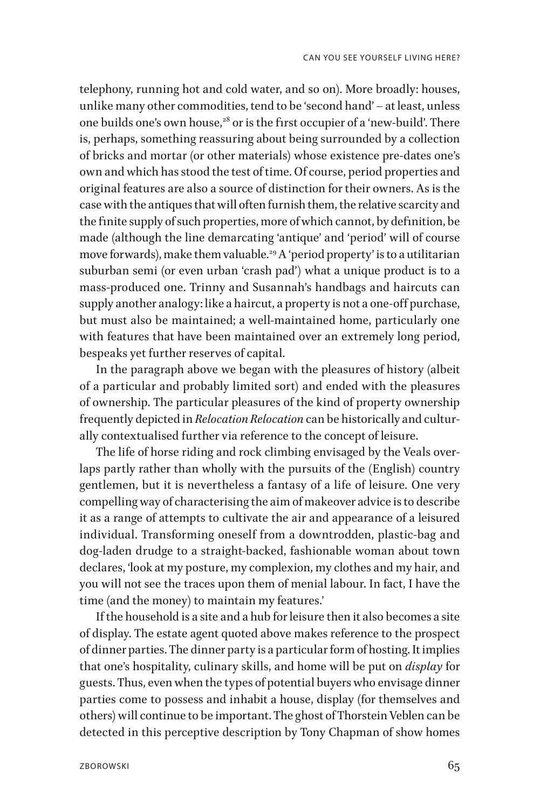telephony, running hot and cold water, and so on). More broadly: houses, unlike many other commodities, tend to be 'second hand' – at least, unless one builds one's own house, $28$  or is the first occupier of a 'new-build'. There is, perhaps, something reassuring about being surrounded by a collection of bricks and mortar (or other materials) whose existence pre-dates one's own and which has stood the test of time. Of course, period properties and original features are also a source of distinction for their owners. As is the case with the antiques that will often furnish them, the relative scarcity and the finite supply of such properties, more of which cannot, by definition, be made (although the line demarcating 'antique' and 'period' will of course move forwards), make them valuable.<sup>29</sup> A 'period property' is to a utilitarian suburban semi (or even urban 'crash pad') what a unique product is to a mass-produced one. Trinny and Susannah's handbags and haircuts can supply another analogy: like a haircut, a property is not a one-off purchase, but must also be maintained; a well-maintained home, particularly one with features that have been maintained over an extremely long period, bespeaks yet further reserves of capital.

In the paragraph above we began with the pleasures of history (albeit of a particular and probably limited sort) and ended with the pleasures of ownership. The particular pleasures of the kind of property ownership frequently depicted in *Relocation Relocation* can be historically and culturally contextualised further via reference to the concept of leisure.

The life of horse riding and rock climbing envisaged by the Veals overlaps partly rather than wholly with the pursuits of the (English) country gentlemen, but it is nevertheless a fantasy of a life of leisure. One very compelling way of characterising the aim of makeover advice is to describe it as a range of attempts to cultivate the air and appearance of a leisured individual. Transforming oneself from a downtrodden, plastic-bag and dog-laden drudge to a straight-backed, fashionable woman about town declares, 'look at my posture, my complexion, my clothes and my hair, and you will not see the traces upon them of menial labour. In fact, I have the time (and the money) to maintain my features.'

If the household is a site and a hub for leisure then it also becomes a site of display. The estate agent quoted above makes reference to the prospect of dinner parties. The dinner party is a particular form of hosting. It implies that one's hospitality, culinary skills, and home will be put on *display* for guests. Thus, even when the types of potential buyers who envisage dinner parties come to possess and inhabit a house, display (for themselves and others) will continue to be important. The ghost of Thorstein Veblen can be detected in this perceptive description by Tony Chapman of show homes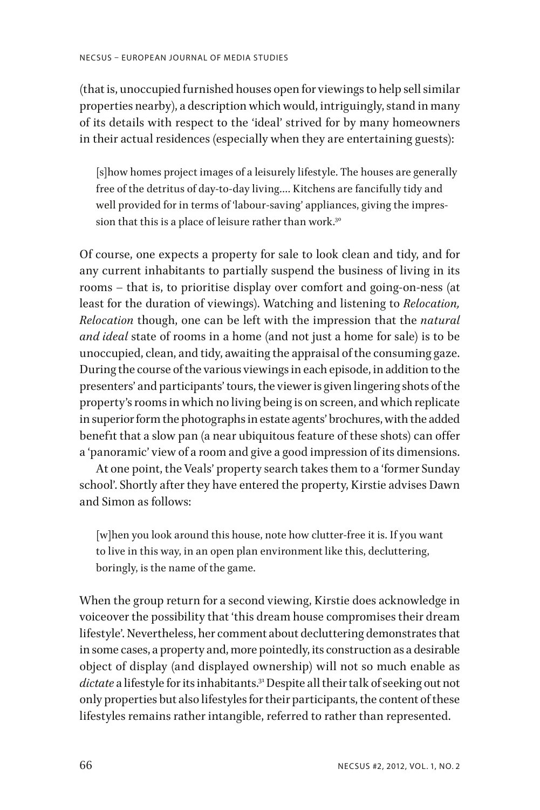(that is, unoccupied furnished houses open for viewings to help sell similar properties nearby), a description which would, intriguingly, stand in many of its details with respect to the 'ideal' strived for by many homeowners in their actual residences (especially when they are entertaining guests):

[s]how homes project images of a leisurely lifestyle. The houses are generally free of the detritus of day-to-day living…. Kitchens are fancifully tidy and well provided for in terms of 'labour-saving' appliances, giving the impression that this is a place of leisure rather than work.<sup>30</sup>

Of course, one expects a property for sale to look clean and tidy, and for any current inhabitants to partially suspend the business of living in its rooms – that is, to prioritise display over comfort and going-on-ness (at least for the duration of viewings). Watching and listening to *Relocation, Relocation* though, one can be left with the impression that the *natural and ideal* state of rooms in a home (and not just a home for sale) is to be unoccupied, clean, and tidy, awaiting the appraisal of the consuming gaze. During the course of the various viewings in each episode, in addition to the presenters' and participants' tours, the viewer is given lingering shots of the property's rooms in which no living being is on screen, and which replicate in superior form the photographs in estate agents' brochures, with the added benefit that a slow pan (a near ubiquitous feature of these shots) can offer a 'panoramic' view of a room and give a good impression of its dimensions.

At one point, the Veals' property search takes them to a 'former Sunday school'. Shortly after they have entered the property, Kirstie advises Dawn and Simon as follows:

[w]hen you look around this house, note how clutter-free it is. If you want to live in this way, in an open plan environment like this, decluttering, boringly, is the name of the game.

When the group return for a second viewing, Kirstie does acknowledge in voiceover the possibility that 'this dream house compromises their dream lifestyle'. Nevertheless, her comment about decluttering demonstrates that in some cases, a property and, more pointedly, its construction as a desirable object of display (and displayed ownership) will not so much enable as *dictate* a lifestyle for its inhabitants.31 Despite all their talk of seeking out not only properties but also lifestyles for their participants, the content of these lifestyles remains rather intangible, referred to rather than represented.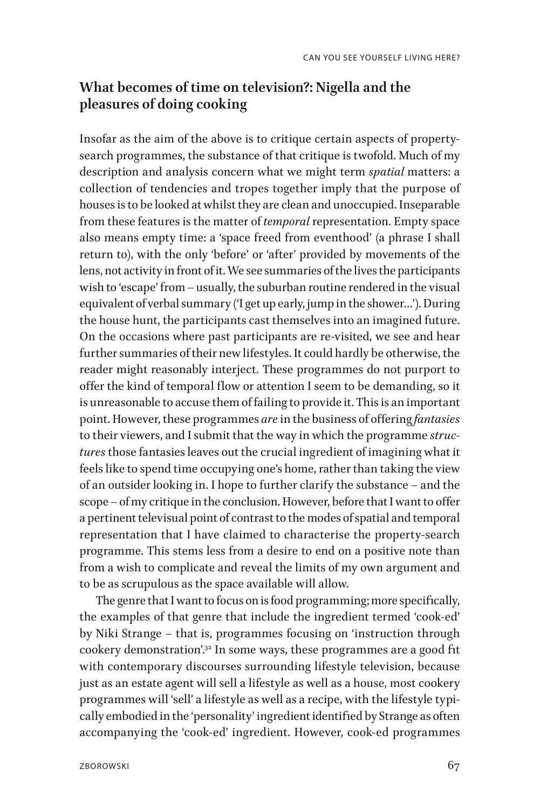# **What becomes of time on television?: Nigella and the pleasures of doing cooking**

Insofar as the aim of the above is to critique certain aspects of propertysearch programmes, the substance of that critique is twofold. Much of my description and analysis concern what we might term *spatial* matters: a collection of tendencies and tropes together imply that the purpose of houses is to be looked at whilst they are clean and unoccupied. Inseparable from these features is the matter of *temporal* representation. Empty space also means empty time: a 'space freed from eventhood' (a phrase I shall return to), with the only 'before' or 'after' provided by movements of the lens, not activity in front of it. We see summaries of the lives the participants wish to 'escape' from – usually, the suburban routine rendered in the visual equivalent of verbal summary ('I get up early, jump in the shower…'). During the house hunt, the participants cast themselves into an imagined future. On the occasions where past participants are re-visited, we see and hear further summaries of their new lifestyles. It could hardly be otherwise, the reader might reasonably interject. These programmes do not purport to offer the kind of temporal flow or attention I seem to be demanding, so it is unreasonable to accuse them of failing to provide it. This is an important point. However, these programmes *are* in the business of offering *fantasies* to their viewers, and I submit that the way in which the programme *structures* those fantasies leaves out the crucial ingredient of imagining what it feels like to spend time occupying one's home, rather than taking the view of an outsider looking in. I hope to further clarify the substance – and the scope – of my critique in the conclusion. However, before that I want to offer a pertinent televisual point of contrast to the modes of spatial and temporal representation that I have claimed to characterise the property-search programme. This stems less from a desire to end on a positive note than from a wish to complicate and reveal the limits of my own argument and to be as scrupulous as the space available will allow.

The genre that I want to focus on is food programming; more specifically, the examples of that genre that include the ingredient termed 'cook-ed' by Niki Strange – that is, programmes focusing on 'instruction through cookery demonstration'.<sup>32</sup> In some ways, these programmes are a good fit with contemporary discourses surrounding lifestyle television, because just as an estate agent will sell a lifestyle as well as a house, most cookery programmes will 'sell' a lifestyle as well as a recipe, with the lifestyle typically embodied in the 'personality' ingredient identified by Strange as often accompanying the 'cook-ed' ingredient. However, cook-ed programmes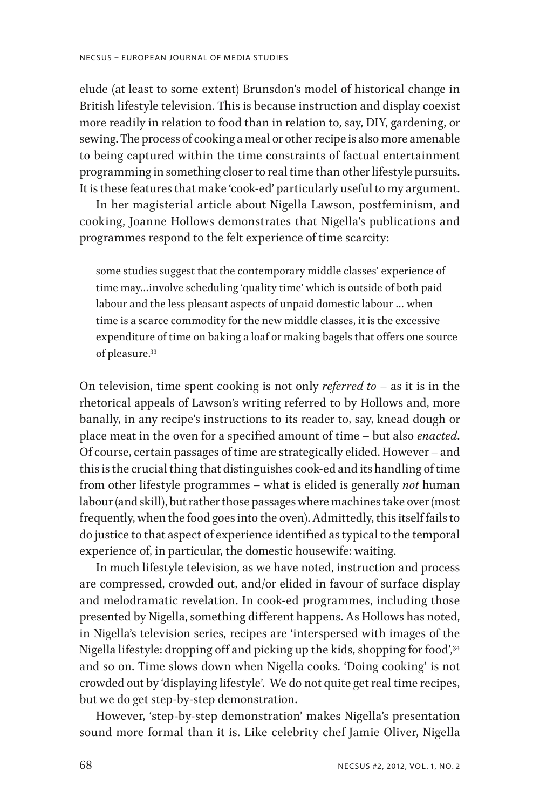elude (at least to some extent) Brunsdon's model of historical change in British lifestyle television. This is because instruction and display coexist more readily in relation to food than in relation to, say, DIY, gardening, or sewing. The process of cooking a meal or other recipe is also more amenable to being captured within the time constraints of factual entertainment programming in something closer to real time than other lifestyle pursuits. It is these features that make 'cook-ed' particularly useful to my argument.

In her magisterial article about Nigella Lawson, postfeminism, and cooking, Joanne Hollows demonstrates that Nigella's publications and programmes respond to the felt experience of time scarcity:

some studies suggest that the contemporary middle classes' experience of time may…involve scheduling 'quality time' which is outside of both paid labour and the less pleasant aspects of unpaid domestic labour … when time is a scarce commodity for the new middle classes, it is the excessive expenditure of time on baking a loaf or making bagels that offers one source of pleasure.33

On television, time spent cooking is not only *referred to* – as it is in the rhetorical appeals of Lawson's writing referred to by Hollows and, more banally, in any recipe's instructions to its reader to, say, knead dough or place meat in the oven for a specified amount of time – but also *enacted*. Of course, certain passages of time are strategically elided. However – and this is the crucial thing that distinguishes cook-ed and its handling of time from other lifestyle programmes – what is elided is generally *not* human labour (and skill), but rather those passages where machines take over (most frequently, when the food goes into the oven). Admittedly, this itself fails to do justice to that aspect of experience identified as typical to the temporal experience of, in particular, the domestic housewife: waiting.

In much lifestyle television, as we have noted, instruction and process are compressed, crowded out, and/or elided in favour of surface display and melodramatic revelation. In cook-ed programmes, including those presented by Nigella, something different happens. As Hollows has noted, in Nigella's television series, recipes are 'interspersed with images of the Nigella lifestyle: dropping off and picking up the kids, shopping for food',<sup>34</sup> and so on. Time slows down when Nigella cooks. 'Doing cooking' is not crowded out by 'displaying lifestyle'. We do not quite get real time recipes, but we do get step-by-step demonstration.

However, 'step-by-step demonstration' makes Nigella's presentation sound more formal than it is. Like celebrity chef Jamie Oliver, Nigella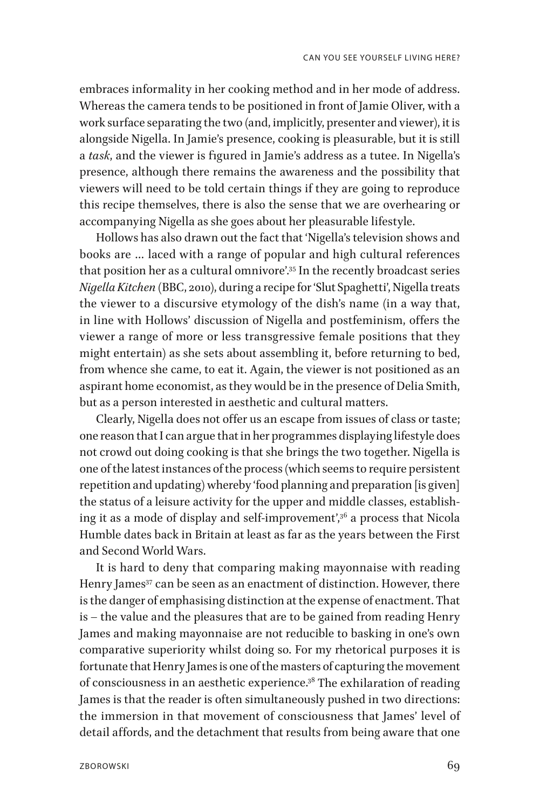embraces informality in her cooking method and in her mode of address. Whereas the camera tends to be positioned in front of Jamie Oliver, with a work surface separating the two (and, implicitly, presenter and viewer), it is alongside Nigella. In Jamie's presence, cooking is pleasurable, but it is still a *task*, and the viewer is figured in Jamie's address as a tutee. In Nigella's presence, although there remains the awareness and the possibility that viewers will need to be told certain things if they are going to reproduce this recipe themselves, there is also the sense that we are overhearing or accompanying Nigella as she goes about her pleasurable lifestyle.

Hollows has also drawn out the fact that 'Nigella's television shows and books are … laced with a range of popular and high cultural references that position her as a cultural omnivore'.<sup>35</sup> In the recently broadcast series *Nigella Kitchen* (BBC, 2010), during a recipe for 'Slut Spaghetti', Nigella treats the viewer to a discursive etymology of the dish's name (in a way that, in line with Hollows' discussion of Nigella and postfeminism, offers the viewer a range of more or less transgressive female positions that they might entertain) as she sets about assembling it, before returning to bed, from whence she came, to eat it. Again, the viewer is not positioned as an aspirant home economist, as they would be in the presence of Delia Smith, but as a person interested in aesthetic and cultural matters.

Clearly, Nigella does not offer us an escape from issues of class or taste; one reason that I can argue that in her programmes displaying lifestyle does not crowd out doing cooking is that she brings the two together. Nigella is one of the latest instances of the process (which seems to require persistent repetition and updating) whereby 'food planning and preparation [is given] the status of a leisure activity for the upper and middle classes, establishing it as a mode of display and self-improvement',<sup>36</sup> a process that Nicola Humble dates back in Britain at least as far as the years between the First and Second World Wars.

It is hard to deny that comparing making mayonnaise with reading Henry James<sup>37</sup> can be seen as an enactment of distinction. However, there is the danger of emphasising distinction at the expense of enactment. That is – the value and the pleasures that are to be gained from reading Henry James and making mayonnaise are not reducible to basking in one's own comparative superiority whilst doing so. For my rhetorical purposes it is fortunate that Henry James is one of the masters of capturing the movement of consciousness in an aesthetic experience.38 The exhilaration of reading James is that the reader is often simultaneously pushed in two directions: the immersion in that movement of consciousness that James' level of detail affords, and the detachment that results from being aware that one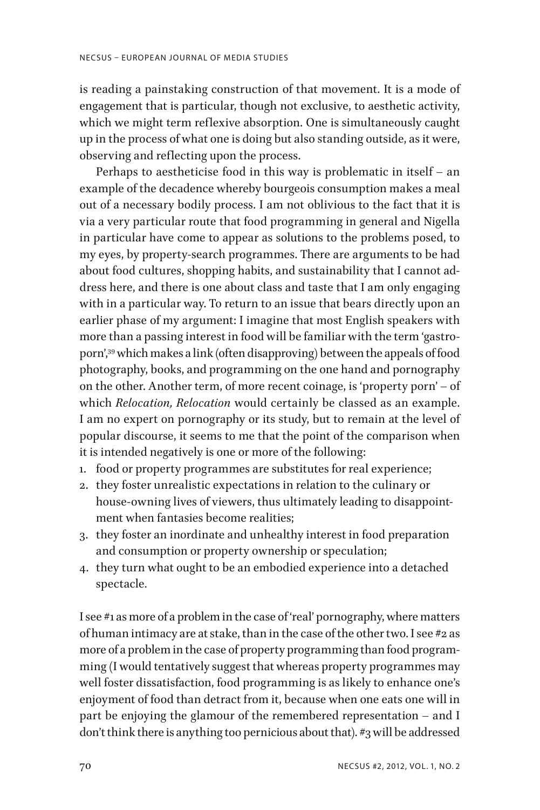is reading a painstaking construction of that movement. It is a mode of engagement that is particular, though not exclusive, to aesthetic activity, which we might term reflexive absorption. One is simultaneously caught up in the process of what one is doing but also standing outside, as it were, observing and reflecting upon the process.

Perhaps to aestheticise food in this way is problematic in itself – an example of the decadence whereby bourgeois consumption makes a meal out of a necessary bodily process. I am not oblivious to the fact that it is via a very particular route that food programming in general and Nigella in particular have come to appear as solutions to the problems posed, to my eyes, by property-search programmes. There are arguments to be had about food cultures, shopping habits, and sustainability that I cannot address here, and there is one about class and taste that I am only engaging with in a particular way. To return to an issue that bears directly upon an earlier phase of my argument: I imagine that most English speakers with more than a passing interest in food will be familiar with the term 'gastroporn',39 which makes a link (often disapproving) between the appeals of food photography, books, and programming on the one hand and pornography on the other. Another term, of more recent coinage, is 'property porn' – of which *Relocation, Relocation* would certainly be classed as an example. I am no expert on pornography or its study, but to remain at the level of popular discourse, it seems to me that the point of the comparison when it is intended negatively is one or more of the following:

- 1. food or property programmes are substitutes for real experience;
- 2. they foster unrealistic expectations in relation to the culinary or house-owning lives of viewers, thus ultimately leading to disappointment when fantasies become realities;
- 3. they foster an inordinate and unhealthy interest in food preparation and consumption or property ownership or speculation;
- 4. they turn what ought to be an embodied experience into a detached spectacle.

I see #1 as more of a problem in the case of 'real' pornography, where matters of human intimacy are at stake, than in the case of the other two. I see #2 as more of a problem in the case of property programming than food programming (I would tentatively suggest that whereas property programmes may well foster dissatisfaction, food programming is as likely to enhance one's enjoyment of food than detract from it, because when one eats one will in part be enjoying the glamour of the remembered representation – and I don't think there is anything too pernicious about that). #3 will be addressed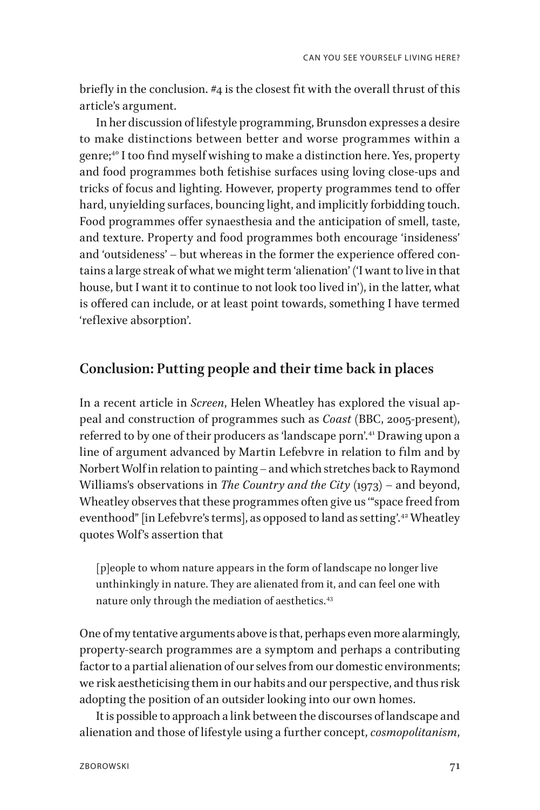briefly in the conclusion. #4 is the closest fit with the overall thrust of this article's argument.

In her discussion of lifestyle programming, Brunsdon expresses a desire to make distinctions between better and worse programmes within a genre;40 I too find myself wishing to make a distinction here. Yes, property and food programmes both fetishise surfaces using loving close-ups and tricks of focus and lighting. However, property programmes tend to offer hard, unyielding surfaces, bouncing light, and implicitly forbidding touch. Food programmes offer synaesthesia and the anticipation of smell, taste, and texture. Property and food programmes both encourage 'insideness' and 'outsideness' – but whereas in the former the experience offered contains a large streak of what we might term 'alienation' ('I want to live in that house, but I want it to continue to not look too lived in'), in the latter, what is offered can include, or at least point towards, something I have termed 'reflexive absorption'.

### **Conclusion: Putting people and their time back in places**

In a recent article in *Screen*, Helen Wheatley has explored the visual appeal and construction of programmes such as *Coast* (BBC, 2005-present), referred to by one of their producers as 'landscape porn'.<sup>41</sup> Drawing upon a line of argument advanced by Martin Lefebvre in relation to film and by Norbert Wolf in relation to painting – and which stretches back to Raymond Williams's observations in *The Country and the City* (1973) – and beyond, Wheatley observes that these programmes often give us '"space freed from eventhood" [in Lefebvre's terms], as opposed to land as setting'.<sup>42</sup> Wheatley quotes Wolf's assertion that

[p]eople to whom nature appears in the form of landscape no longer live unthinkingly in nature. They are alienated from it, and can feel one with nature only through the mediation of aesthetics.<sup>43</sup>

One of my tentative arguments above is that, perhaps even more alarmingly, property-search programmes are a symptom and perhaps a contributing factor to a partial alienation of our selves from our domestic environments; we risk aestheticising them in our habits and our perspective, and thus risk adopting the position of an outsider looking into our own homes.

It is possible to approach a link between the discourses of landscape and alienation and those of lifestyle using a further concept, *cosmopolitanism*,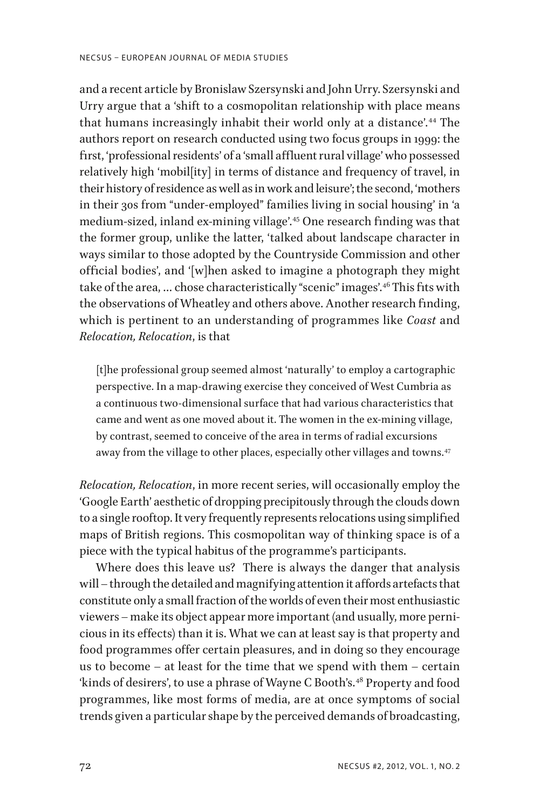and a recent article by Bronislaw Szersynski and John Urry. Szersynski and Urry argue that a 'shift to a cosmopolitan relationship with place means that humans increasingly inhabit their world only at a distance'.44 The authors report on research conducted using two focus groups in 1999: the first, 'professional residents' of a 'small affluent rural village' who possessed relatively high 'mobil[ity] in terms of distance and frequency of travel, in their history of residence as well as in work and leisure'; the second, 'mothers in their 30s from "under-employed" families living in social housing' in 'a medium-sized, inland ex-mining village'.45 One research finding was that the former group, unlike the latter, 'talked about landscape character in ways similar to those adopted by the Countryside Commission and other official bodies', and '[w]hen asked to imagine a photograph they might take of the area, … chose characteristically "scenic" images'.46 This fits with the observations of Wheatley and others above. Another research finding, which is pertinent to an understanding of programmes like *Coast* and *Relocation, Relocation*, is that

[t]he professional group seemed almost 'naturally' to employ a cartographic perspective. In a map-drawing exercise they conceived of West Cumbria as a continuous two-dimensional surface that had various characteristics that came and went as one moved about it. The women in the ex-mining village, by contrast, seemed to conceive of the area in terms of radial excursions away from the village to other places, especially other villages and towns.<sup>47</sup>

*Relocation, Relocation*, in more recent series, will occasionally employ the 'Google Earth' aesthetic of dropping precipitously through the clouds down to a single rooftop. It very frequently represents relocations using simplified maps of British regions. This cosmopolitan way of thinking space is of a piece with the typical habitus of the programme's participants.

Where does this leave us? There is always the danger that analysis will – through the detailed and magnifying attention it affords artefacts that constitute only a small fraction of the worlds of even their most enthusiastic viewers – make its object appear more important (and usually, more pernicious in its effects) than it is. What we can at least say is that property and food programmes offer certain pleasures, and in doing so they encourage us to become – at least for the time that we spend with them – certain 'kinds of desirers', to use a phrase of Wayne C Booth's.<sup>48</sup> Property and food programmes, like most forms of media, are at once symptoms of social trends given a particular shape by the perceived demands of broadcasting,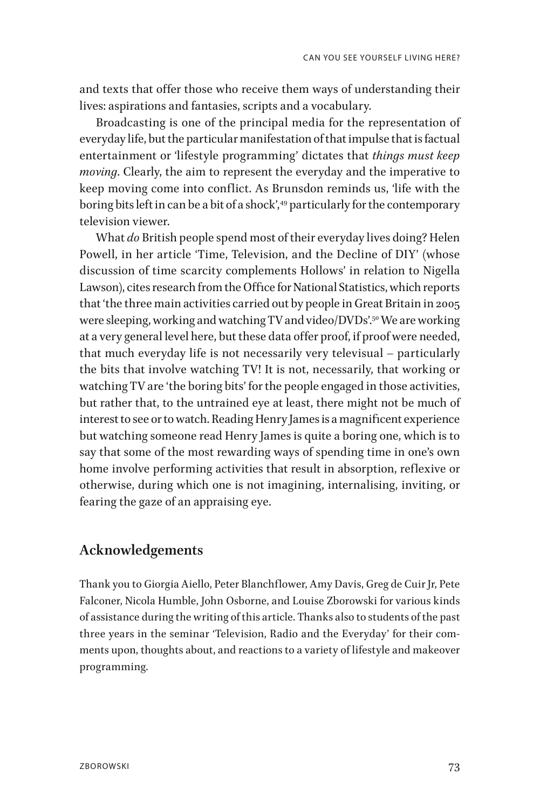and texts that offer those who receive them ways of understanding their lives: aspirations and fantasies, scripts and a vocabulary.

Broadcasting is one of the principal media for the representation of everyday life, but the particular manifestation of that impulse that is factual entertainment or 'lifestyle programming' dictates that *things must keep moving*. Clearly, the aim to represent the everyday and the imperative to keep moving come into conflict. As Brunsdon reminds us, 'life with the boring bits left in can be a bit of a shock',<sup>49</sup> particularly for the contemporary television viewer.

What *do* British people spend most of their everyday lives doing? Helen Powell, in her article 'Time, Television, and the Decline of DIY' (whose discussion of time scarcity complements Hollows' in relation to Nigella Lawson), cites research from the Office for National Statistics, which reports that 'the three main activities carried out by people in Great Britain in 2005 were sleeping, working and watching TV and video/DVDs'.<sup>50</sup> We are working at a very general level here, but these data offer proof, if proof were needed, that much everyday life is not necessarily very televisual – particularly the bits that involve watching TV! It is not, necessarily, that working or watching TV are 'the boring bits' for the people engaged in those activities, but rather that, to the untrained eye at least, there might not be much of interest to see or to watch. Reading Henry James is a magnificent experience but watching someone read Henry James is quite a boring one, which is to say that some of the most rewarding ways of spending time in one's own home involve performing activities that result in absorption, reflexive or otherwise, during which one is not imagining, internalising, inviting, or fearing the gaze of an appraising eye.

# **Acknowledgements**

Thank you to Giorgia Aiello, Peter Blanchflower, Amy Davis, Greg de Cuir Jr, Pete Falconer, Nicola Humble, John Osborne, and Louise Zborowski for various kinds of assistance during the writing of this article. Thanks also to students of the past three years in the seminar 'Television, Radio and the Everyday' for their comments upon, thoughts about, and reactions to a variety of lifestyle and makeover programming.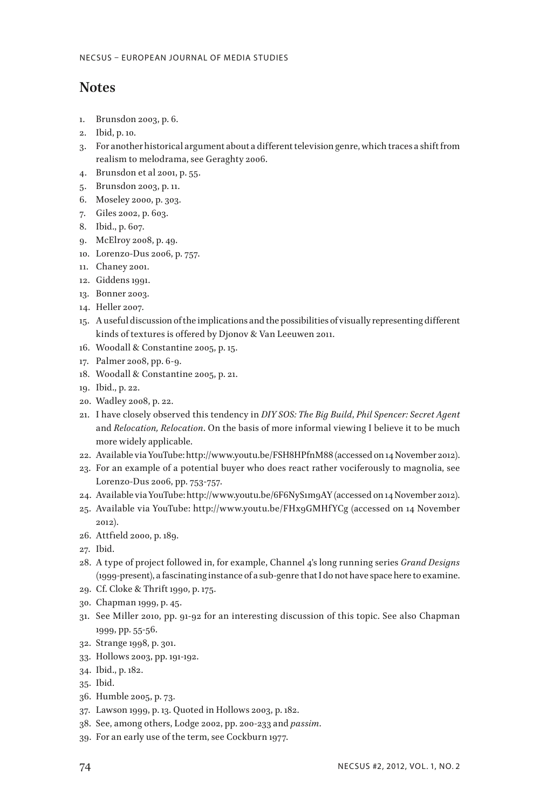# **Notes**

- 1. Brunsdon 2003, p. 6.
- 2. Ibid, p. 10.
- 3. For another historical argument about a different television genre, which traces a shift from realism to melodrama, see Geraghty 2006.
- 4. Brunsdon et al 2001, p. 55.
- 5. Brunsdon 2003, p. 11.
- 6. Moseley 2000, p. 303.
- 7. Giles 2002, p. 603.
- 8. Ibid., p. 607.
- 9. McElroy 2008, p. 49.
- 10. Lorenzo-Dus 2006, p. 757.
- 11. Chaney 2001.
- 12. Giddens 1991.
- 13. Bonner 2003.
- 14. Heller 2007.
- 15. A useful discussion of the implications and the possibilities of visually representing different kinds of textures is offered by Djonov & Van Leeuwen 2011.
- 16. Woodall & Constantine 2005, p. 15.
- 17. Palmer 2008, pp. 6-9.
- 18. Woodall & Constantine 2005, p. 21.
- 19. Ibid., p. 22.
- 20. Wadley 2008, p. 22.
- 21. I have closely observed this tendency in *DIY SOS: The Big Build*, *Phil Spencer: Secret Agent* and *Relocation, Relocation*. On the basis of more informal viewing I believe it to be much more widely applicable.
- 22. Available via YouTube: http://www.youtu.be/FSH8HPfnM88 (accessed on 14 November 2012).
- 23. For an example of a potential buyer who does react rather vociferously to magnolia, see Lorenzo-Dus 2006, pp. 753-757.
- 24. Available via YouTube: http://www.youtu.be/6F6NyS1m9AY (accessed on 14 November 2012).
- 25. Available via YouTube: http://www.youtu.be/FHx9GMHfYCg (accessed on 14 November 2012).
- 26. Attfield 2000, p. 189.
- 27. Ibid.
- 28. A type of project followed in, for example, Channel 4's long running series *Grand Designs* (1999-present), a fascinating instance of a sub-genre that I do not have space here to examine.
- 29. Cf. Cloke & Thrift 1990, p. 175.
- 30. Chapman 1999, p. 45.
- 31. See Miller 2010, pp. 91-92 for an interesting discussion of this topic. See also Chapman 1999, pp. 55-56.
- 32. Strange 1998, p. 301.
- 33. Hollows 2003, pp. 191-192.
- 34. Ibid., p. 182.
- 35. Ibid.
- 36. Humble 2005, p. 73.
- 37. Lawson 1999, p. 13. Quoted in Hollows 2003, p. 182.
- 38. See, among others, Lodge 2002, pp. 200-233 and *passim*.
- 39. For an early use of the term, see Cockburn 1977.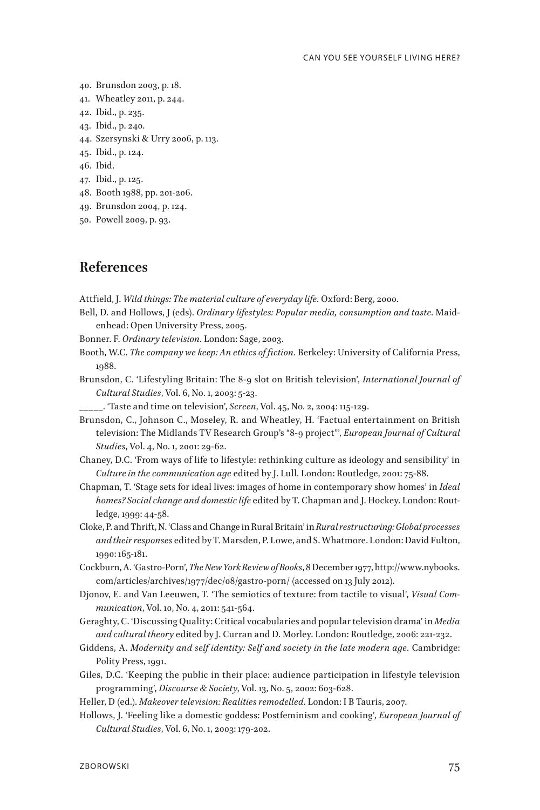- 40. Brunsdon 2003, p. 18.
- 41. Wheatley 2011, p. 244.
- 42. Ibid., p. 235.
- 43. Ibid., p. 240.
- 44. Szersynski & Urry 2006, p. 113.
- 45. Ibid., p. 124.
- 46. Ibid.
- 47. Ibid., p. 125.
- 48. Booth 1988, pp. 201-206.
- 49. Brunsdon 2004, p. 124.
- 50. Powell 2009, p. 93.

### **References**

Attfield, J. *Wild things: The material culture of everyday life*. Oxford: Berg, 2000.

- Bell, D. and Hollows, J (eds). *Ordinary lifestyles: Popular media, consumption and taste*. Maidenhead: Open University Press, 2005.
- Bonner. F. *Ordinary television*. London: Sage, 2003.
- Booth, W.C. *The company we keep: An ethics of fiction*. Berkeley: University of California Press, 1988.
- Brunsdon, C. 'Lifestyling Britain: The 8-9 slot on British television', *International Journal of Cultural Studies*, Vol. 6, No. 1, 2003: 5-23.

\_\_\_\_\_. 'Taste and time on television', *Screen*, Vol. 45, No. 2, 2004: 115-129.

- Brunsdon, C., Johnson C., Moseley, R. and Wheatley, H. 'Factual entertainment on British television: The Midlands TV Research Group's "8-9 project"', *European Journal of Cultural Studies*, Vol. 4, No. 1, 2001: 29-62.
- Chaney, D.C. 'From ways of life to lifestyle: rethinking culture as ideology and sensibility' in *Culture in the communication age* edited by J. Lull. London: Routledge, 2001: 75-88.
- Chapman, T. 'Stage sets for ideal lives: images of home in contemporary show homes' in *Ideal homes? Social change and domestic life* edited by T. Chapman and J. Hockey. London: Routledge, 1999: 44-58.
- Cloke, P. and Thrift, N. 'Class and Change in Rural Britain' in *Rural restructuring: Global processes and their responses* edited by T. Marsden, P. Lowe, and S. Whatmore. London: David Fulton, 1990: 165-181.
- Cockburn, A. 'Gastro-Porn', *The New York Review of Books*, 8 December 1977, http://www.nybooks. com/articles/archives/1977/dec/08/gastro-porn/ (accessed on 13 July 2012).
- Djonov, E. and Van Leeuwen, T. 'The semiotics of texture: from tactile to visual', *Visual Communication*, Vol. 10, No. 4, 2011: 541-564.
- Geraghty, C. 'Discussing Quality: Critical vocabularies and popular television drama' in *Media and cultural theory* edited by J. Curran and D. Morley. London: Routledge, 2006: 221-232.
- Giddens, A. *Modernity and self identity: Self and society in the late modern age*. Cambridge: Polity Press, 1991.
- Giles, D.C. 'Keeping the public in their place: audience participation in lifestyle television programming', *Discourse & Society*, Vol. 13, No. 5, 2002: 603-628.

Heller, D (ed.). *Makeover television: Realities remodelled*. London: I B Tauris, 2007.

Hollows, J. 'Feeling like a domestic goddess: Postfeminism and cooking', *European Journal of Cultural Studies*, Vol. 6, No. 1, 2003: 179-202.